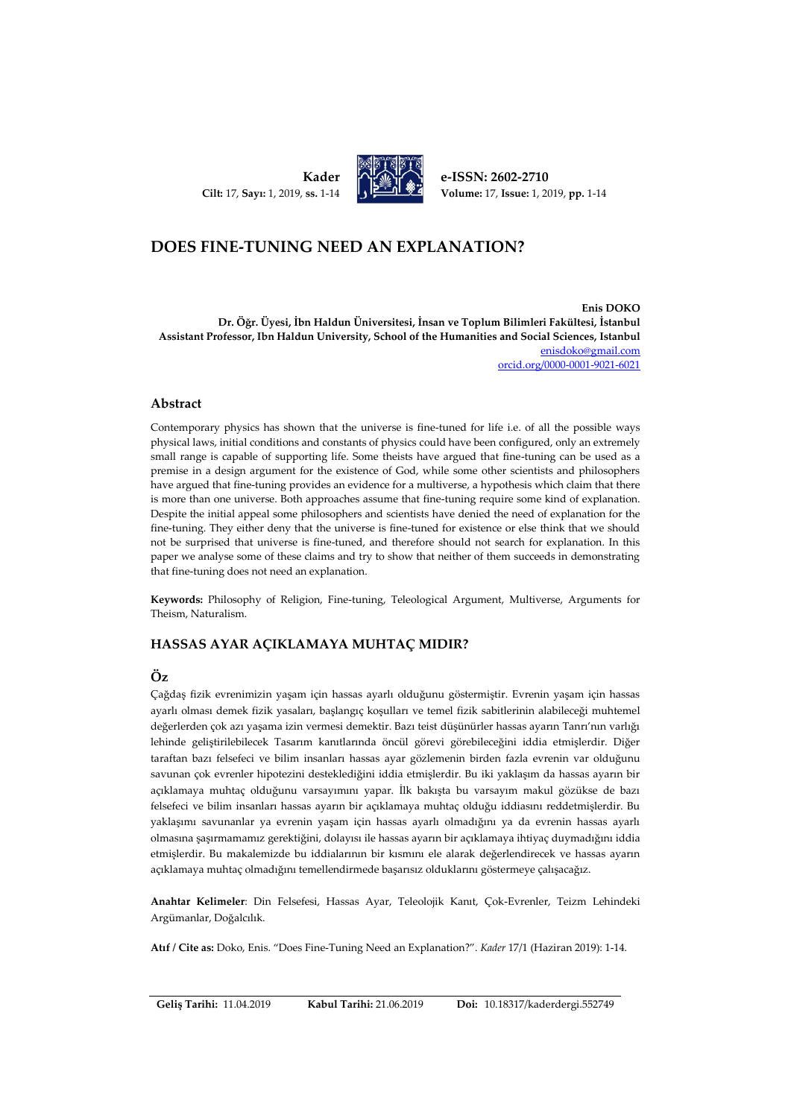**Kader Cilt:** 17, **Sayı:** 1, 2019, **ss.** 1-14



**e-ISSN: 2602-2710 Volume:** 17, **Issue:** 1, 2019, **pp.** 1-14

# **DOES FINE-TUNING NEED AN EXPLANATION?**

**Enis DOKO Dr. Öğr. Üyesi, İbn Haldun Üniversitesi, İnsan ve Toplum Bilimleri Fakültesi, İstanbul Assistant Professor, Ibn Haldun University, School of the Humanities and Social Sciences, Istanbul** [enisdoko@gmail.com](mailto:enisdoko@gmail.com) [orcid.org/0](https://orcid.org/0000-0002-0573-8456)000-0001-9021-6021

#### **Abstract**

Contemporary physics has shown that the universe is fine-tuned for life i.e. of all the possible ways physical laws, initial conditions and constants of physics could have been configured, only an extremely small range is capable of supporting life. Some theists have argued that fine-tuning can be used as a premise in a design argument for the existence of God, while some other scientists and philosophers have argued that fine-tuning provides an evidence for a multiverse, a hypothesis which claim that there is more than one universe. Both approaches assume that fine-tuning require some kind of explanation. Despite the initial appeal some philosophers and scientists have denied the need of explanation for the fine-tuning. They either deny that the universe is fine-tuned for existence or else think that we should not be surprised that universe is fine-tuned, and therefore should not search for explanation. In this paper we analyse some of these claims and try to show that neither of them succeeds in demonstrating that fine-tuning does not need an explanation.

**Keywords:** Philosophy of Religion, Fine-tuning, Teleological Argument, Multiverse, Arguments for Theism, Naturalism.

### **HASSAS AYAR AÇIKLAMAYA MUHTAÇ MIDIR?**

### **Öz**

Çağdaş fizik evrenimizin yaşam için hassas ayarlı olduğunu göstermiştir. Evrenin yaşam için hassas ayarlı olması demek fizik yasaları, başlangıç koşulları ve temel fizik sabitlerinin alabileceği muhtemel değerlerden çok azı yaşama izin vermesi demektir. Bazı teist düşünürler hassas ayarın Tanrı'nın varlığı lehinde geliştirilebilecek Tasarım kanıtlarında öncül görevi görebileceğini iddia etmişlerdir. Diğer taraftan bazı felsefeci ve bilim insanları hassas ayar gözlemenin birden fazla evrenin var olduğunu savunan çok evrenler hipotezini desteklediğini iddia etmişlerdir. Bu iki yaklaşım da hassas ayarın bir açıklamaya muhtaç olduğunu varsayımını yapar. İlk bakışta bu varsayım makul gözükse de bazı felsefeci ve bilim insanları hassas ayarın bir açıklamaya muhtaç olduğu iddiasını reddetmişlerdir. Bu yaklaşımı savunanlar ya evrenin yaşam için hassas ayarlı olmadığını ya da evrenin hassas ayarlı olmasına şaşırmamamız gerektiğini, dolayısı ile hassas ayarın bir açıklamaya ihtiyaç duymadığını iddia etmişlerdir. Bu makalemizde bu iddialarının bir kısmını ele alarak değerlendirecek ve hassas ayarın açıklamaya muhtaç olmadığını temellendirmede başarısız olduklarını göstermeye çalışacağız.

**Anahtar Kelimeler**: Din Felsefesi, Hassas Ayar, Teleolojik Kanıt, Çok-Evrenler, Teizm Lehindeki Argümanlar, Doğalcılık.

**Atıf / Cite as:** Doko, Enis. "Does Fine-Tuning Need an Explanation?". *Kader* 17/1 (Haziran 2019): 1-14.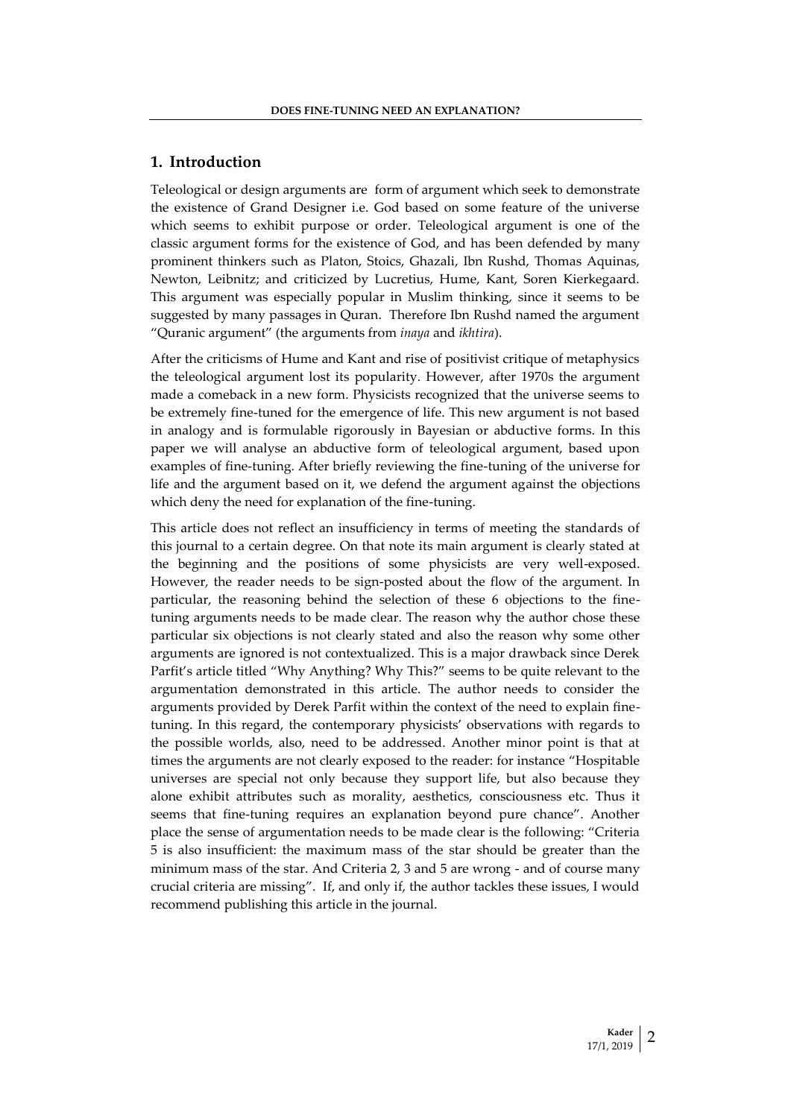## **1. Introduction**

Teleological or design arguments are form of argument which seek to demonstrate the existence of Grand Designer i.e. God based on some feature of the universe which seems to exhibit purpose or order. Teleological argument is one of the classic argument forms for the existence of God, and has been defended by many prominent thinkers such as Platon, Stoics, Ghazali, Ibn Rushd, Thomas Aquinas, Newton, Leibnitz; and criticized by Lucretius, Hume, Kant, Soren Kierkegaard. This argument was especially popular in Muslim thinking, since it seems to be suggested by many passages in Quran. Therefore Ibn Rushd named the argument "Quranic argument" (the arguments from *inaya* and *ikhtira*).

After the criticisms of Hume and Kant and rise of positivist critique of metaphysics the teleological argument lost its popularity. However, after 1970s the argument made a comeback in a new form. Physicists recognized that the universe seems to be extremely fine-tuned for the emergence of life. This new argument is not based in analogy and is formulable rigorously in Bayesian or abductive forms. In this paper we will analyse an abductive form of teleological argument, based upon examples of fine-tuning. After briefly reviewing the fine-tuning of the universe for life and the argument based on it, we defend the argument against the objections which deny the need for explanation of the fine-tuning.

This article does not reflect an insufficiency in terms of meeting the standards of this journal to a certain degree. On that note its main argument is clearly stated at the beginning and the positions of some physicists are very well-exposed. However, the reader needs to be sign-posted about the flow of the argument. In particular, the reasoning behind the selection of these 6 objections to the finetuning arguments needs to be made clear. The reason why the author chose these particular six objections is not clearly stated and also the reason why some other arguments are ignored is not contextualized. This is a major drawback since Derek Parfit's article titled "Why Anything? Why This?" seems to be quite relevant to the argumentation demonstrated in this article. The author needs to consider the arguments provided by Derek Parfit within the context of the need to explain finetuning. In this regard, the contemporary physicists' observations with regards to the possible worlds, also, need to be addressed. Another minor point is that at times the arguments are not clearly exposed to the reader: for instance "Hospitable universes are special not only because they support life, but also because they alone exhibit attributes such as morality, aesthetics, consciousness etc. Thus it seems that fine-tuning requires an explanation beyond pure chance". Another place the sense of argumentation needs to be made clear is the following: "Criteria 5 is also insufficient: the maximum mass of the star should be greater than the minimum mass of the star. And Criteria 2, 3 and 5 are wrong - and of course many crucial criteria are missing". If, and only if, the author tackles these issues, I would recommend publishing this article in the journal.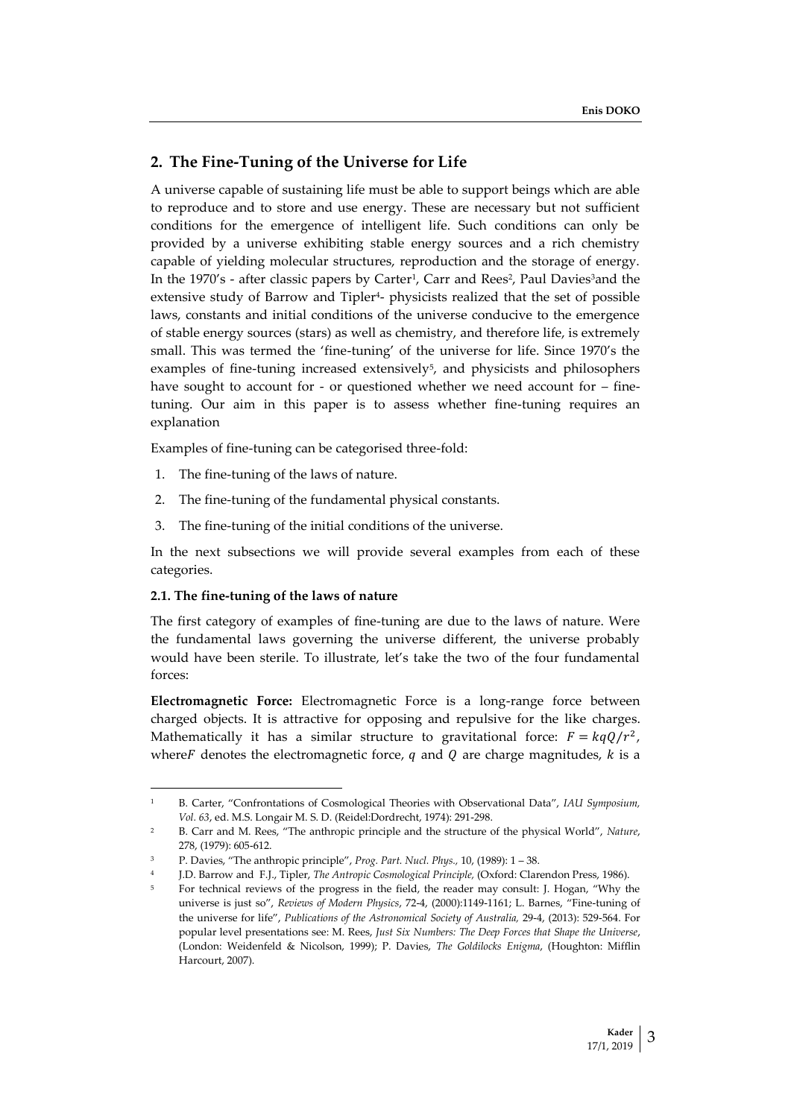## **2. The Fine-Tuning of the Universe for Life**

A universe capable of sustaining life must be able to support beings which are able to reproduce and to store and use energy. These are necessary but not sufficient conditions for the emergence of intelligent life. Such conditions can only be provided by a universe exhibiting stable energy sources and a rich chemistry capable of yielding molecular structures, reproduction and the storage of energy. In the 1970's - after classic papers by Carter<sup>1</sup>, Carr and Rees<sup>2</sup>, Paul Davies<sup>3</sup>and the extensive study of Barrow and Tipler<sup>4</sup> - physicists realized that the set of possible laws, constants and initial conditions of the universe conducive to the emergence of stable energy sources (stars) as well as chemistry, and therefore life, is extremely small. This was termed the 'fine-tuning' of the universe for life. Since 1970's the examples of fine-tuning increased extensively<sup>5</sup> , and physicists and philosophers have sought to account for - or questioned whether we need account for – finetuning. Our aim in this paper is to assess whether fine-tuning requires an explanation

Examples of fine-tuning can be categorised three-fold:

- 1. The fine-tuning of the laws of nature.
- 2. The fine-tuning of the fundamental physical constants.
- 3. The fine-tuning of the initial conditions of the universe.

In the next subsections we will provide several examples from each of these categories.

#### **2.1. The fine-tuning of the laws of nature**

 $\overline{\phantom{a}}$ 

The first category of examples of fine-tuning are due to the laws of nature. Were the fundamental laws governing the universe different, the universe probably would have been sterile. To illustrate, let's take the two of the four fundamental forces:

**Electromagnetic Force:** Electromagnetic Force is a long-range force between charged objects. It is attractive for opposing and repulsive for the like charges. Mathematically it has a similar structure to gravitational force:  $F = kqQ/r^2$ , where *F* denotes the electromagnetic force, q and Q are charge magnitudes,  $k$  is a

<sup>1</sup> B. Carter, "Confrontations of Cosmological Theories with Observational Data", *IAU Symposium, Vol. 63*, ed. M.S. Longair M. S. D. (Reidel:Dordrecht, 1974): 291-298.

<sup>2</sup> B. Carr and M. Rees, "The anthropic principle and the structure of the physical World", *Nature*, 278, (1979): 605-612.

<sup>3</sup> P. Davies, "The anthropic principle", *Prog. Part. Nucl. Phys.,* 10, (1989): 1 – 38.

<sup>4</sup> J.D. Barrow and F.J., Tipler, *The Antropic Cosmological Principle,* (Oxford: Clarendon Press, 1986).

<sup>5</sup> For technical reviews of the progress in the field, the reader may consult: J. Hogan, "Why the universe is just so", *Reviews of Modern Physics*, 72-4, (2000):1149-1161; L. Barnes, "Fine-tuning of the universe for life", *Publications of the Astronomical Society of Australia,* 29-4, (2013): 529-564. For popular level presentations see: M. Rees, *Just Six Numbers: The Deep Forces that Shape the Universe*, (London: Weidenfeld & Nicolson, 1999); P. Davies, *The Goldilocks Enigma*, (Houghton: Mifflin Harcourt, 2007).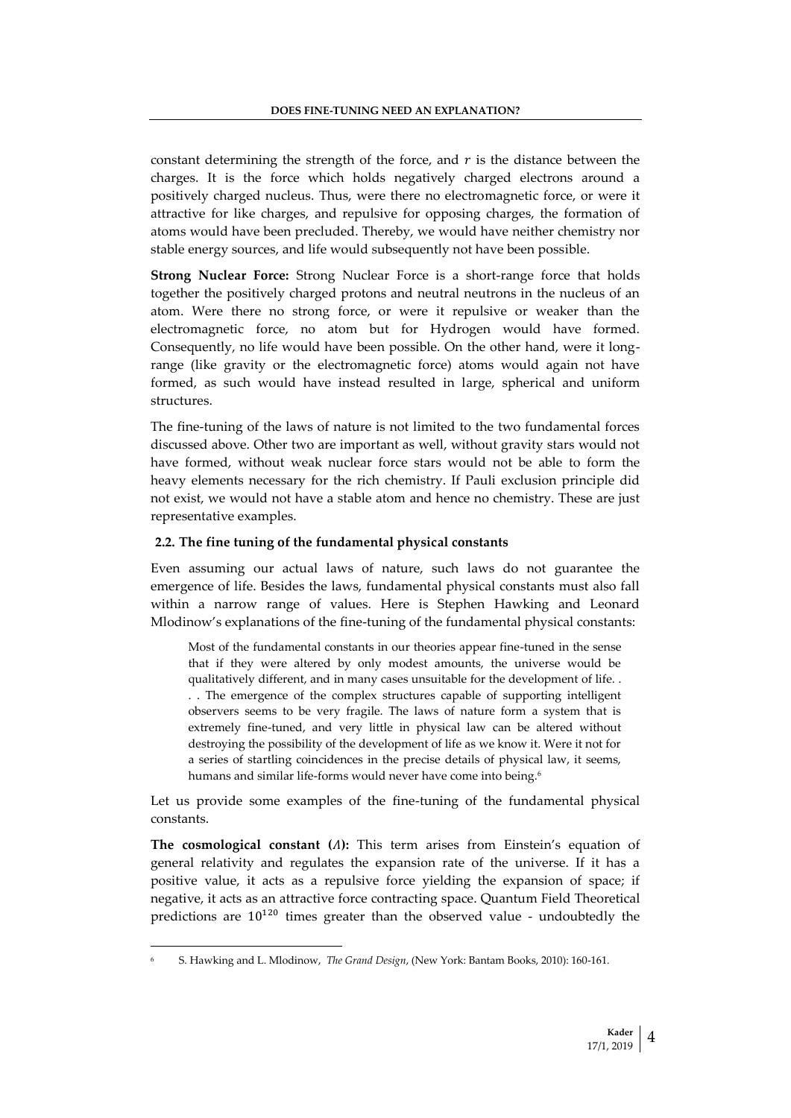constant determining the strength of the force, and  $r$  is the distance between the charges. It is the force which holds negatively charged electrons around a positively charged nucleus. Thus, were there no electromagnetic force, or were it attractive for like charges, and repulsive for opposing charges, the formation of atoms would have been precluded. Thereby, we would have neither chemistry nor stable energy sources, and life would subsequently not have been possible.

**Strong Nuclear Force:** Strong Nuclear Force is a short-range force that holds together the positively charged protons and neutral neutrons in the nucleus of an atom. Were there no strong force, or were it repulsive or weaker than the electromagnetic force, no atom but for Hydrogen would have formed. Consequently, no life would have been possible. On the other hand, were it longrange (like gravity or the electromagnetic force) atoms would again not have formed, as such would have instead resulted in large, spherical and uniform structures.

The fine-tuning of the laws of nature is not limited to the two fundamental forces discussed above. Other two are important as well, without gravity stars would not have formed, without weak nuclear force stars would not be able to form the heavy elements necessary for the rich chemistry. If Pauli exclusion principle did not exist, we would not have a stable atom and hence no chemistry. These are just representative examples.

### **2.2. The fine tuning of the fundamental physical constants**

Even assuming our actual laws of nature, such laws do not guarantee the emergence of life. Besides the laws, fundamental physical constants must also fall within a narrow range of values. Here is Stephen Hawking and Leonard Mlodinow's explanations of the fine-tuning of the fundamental physical constants:

Most of the fundamental constants in our theories appear fine-tuned in the sense that if they were altered by only modest amounts, the universe would be qualitatively different, and in many cases unsuitable for the development of life. . . . The emergence of the complex structures capable of supporting intelligent observers seems to be very fragile. The laws of nature form a system that is extremely fine-tuned, and very little in physical law can be altered without destroying the possibility of the development of life as we know it. Were it not for a series of startling coincidences in the precise details of physical law, it seems, humans and similar life-forms would never have come into being.<sup>6</sup>

Let us provide some examples of the fine-tuning of the fundamental physical constants.

**The cosmological constant ():** This term arises from Einstein's equation of general relativity and regulates the expansion rate of the universe. If it has a positive value, it acts as a repulsive force yielding the expansion of space; if negative, it acts as an attractive force contracting space. Quantum Field Theoretical predictions are  $10^{120}$  times greater than the observed value - undoubtedly the

<sup>6</sup> S. Hawking and L. Mlodinow, *The Grand Design*, (New York: Bantam Books, 2010): 160-161.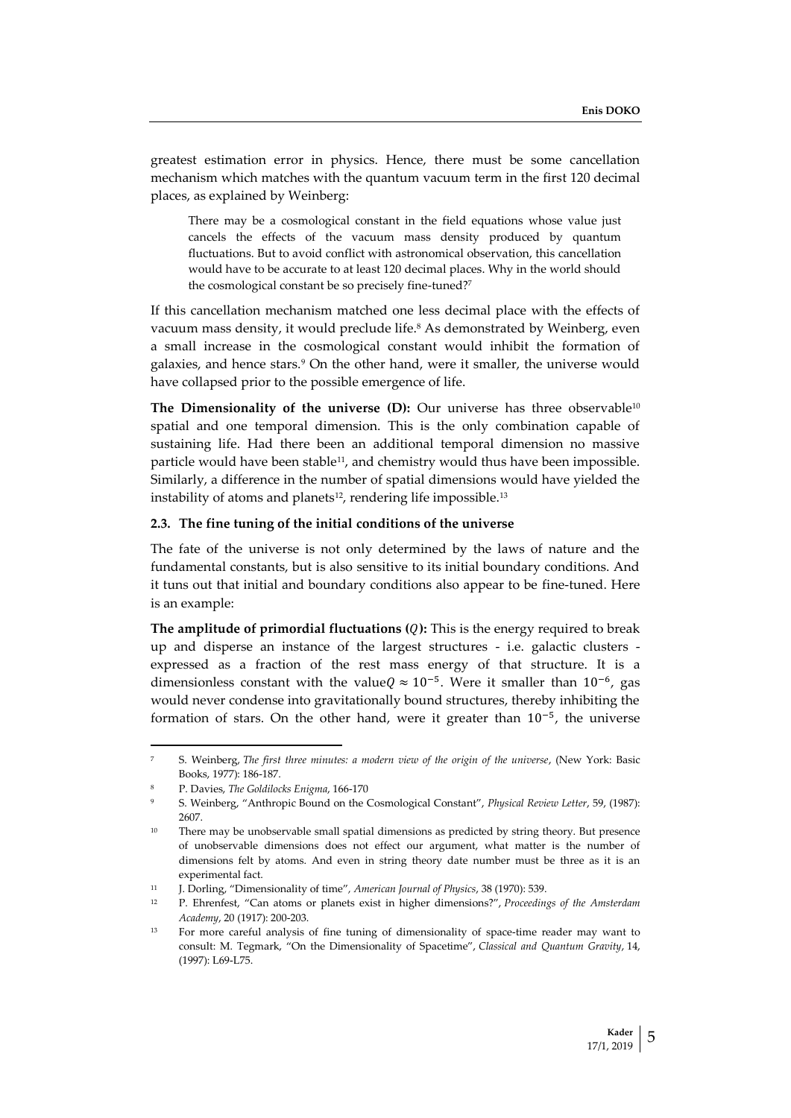greatest estimation error in physics. Hence, there must be some cancellation mechanism which matches with the quantum vacuum term in the first 120 decimal places, as explained by Weinberg:

There may be a cosmological constant in the field equations whose value just cancels the effects of the vacuum mass density produced by quantum fluctuations. But to avoid conflict with astronomical observation, this cancellation would have to be accurate to at least 120 decimal places. Why in the world should the cosmological constant be so precisely fine-tuned?<sup>7</sup>

If this cancellation mechanism matched one less decimal place with the effects of vacuum mass density, it would preclude life.<sup>8</sup> As demonstrated by Weinberg, even a small increase in the cosmological constant would inhibit the formation of galaxies, and hence stars.<sup>9</sup> On the other hand, were it smaller, the universe would have collapsed prior to the possible emergence of life.

**The Dimensionality of the universe (D):** Our universe has three observable<sup>10</sup> spatial and one temporal dimension. This is the only combination capable of sustaining life. Had there been an additional temporal dimension no massive particle would have been stable11, and chemistry would thus have been impossible. Similarly, a difference in the number of spatial dimensions would have yielded the instability of atoms and planets<sup>12</sup>, rendering life impossible.<sup>13</sup>

#### **2.3. The fine tuning of the initial conditions of the universe**

The fate of the universe is not only determined by the laws of nature and the fundamental constants, but is also sensitive to its initial boundary conditions. And it tuns out that initial and boundary conditions also appear to be fine-tuned. Here is an example:

**The amplitude of primordial fluctuations ():** This is the energy required to break up and disperse an instance of the largest structures - i.e. galactic clusters expressed as a fraction of the rest mass energy of that structure. It is a dimensionless constant with the value $Q \approx 10^{-5}$ . Were it smaller than  $10^{-6}$ , gas would never condense into gravitationally bound structures, thereby inhibiting the formation of stars. On the other hand, were it greater than 10<sup>-5</sup>, the universe

 $\overline{a}$ 

<sup>7</sup> S. Weinberg, *The first three minutes: a modern view of the origin of the universe*, (New York: Basic Books, 1977): 186-187.

<sup>8</sup> P. Davies, *The Goldilocks Enigma*, 166-170

<sup>9</sup> S. Weinberg, "Anthropic Bound on the Cosmological Constant", *Physical Review Letter*, 59, (1987): 2607.

<sup>&</sup>lt;sup>10</sup> There may be unobservable small spatial dimensions as predicted by string theory. But presence of unobservable dimensions does not effect our argument, what matter is the number of dimensions felt by atoms. And even in string theory date number must be three as it is an experimental fact.

<sup>11</sup> J. Dorling, "Dimensionality of time"*, American Journal of Physics*, 38 (1970): 539.

<sup>12</sup> P. Ehrenfest, "Can atoms or planets exist in higher dimensions?", *Proceedings of the Amsterdam Academy*, 20 (1917): 200-203.

<sup>&</sup>lt;sup>13</sup> For more careful analysis of fine tuning of dimensionality of space-time reader may want to consult: M. Tegmark, "On the Dimensionality of Spacetime", *Classical and Quantum Gravity*, 14, (1997): L69-L75.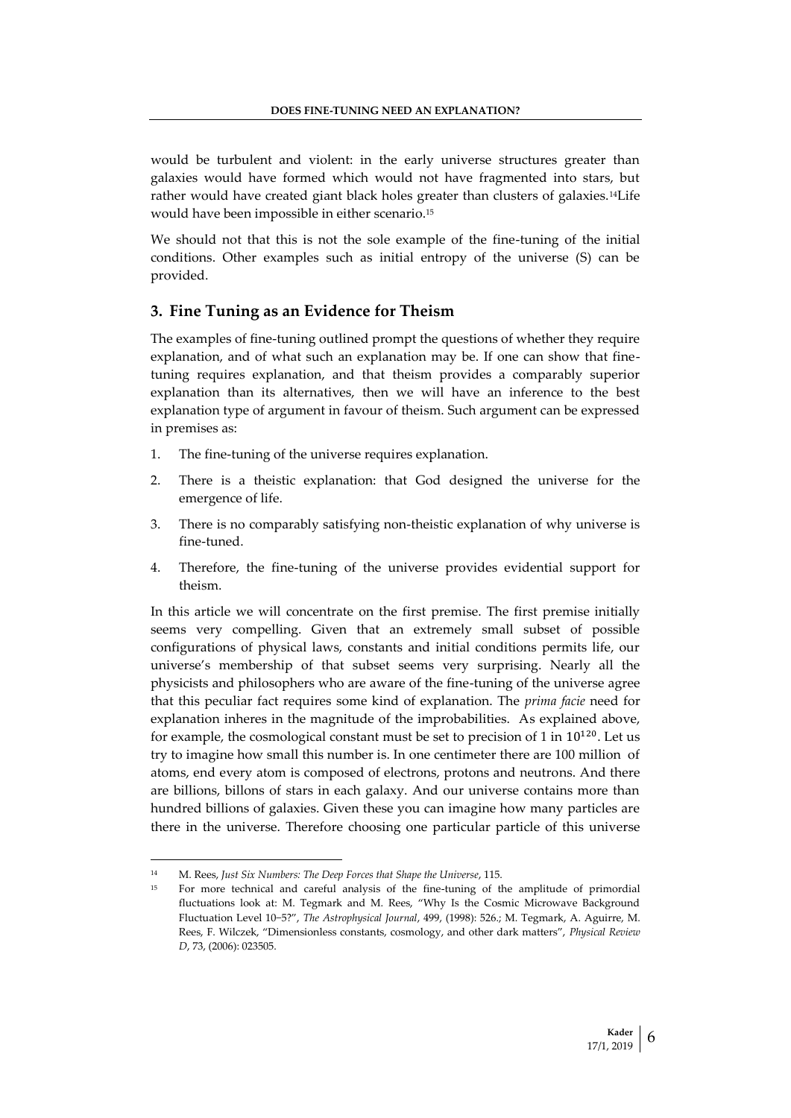would be turbulent and violent: in the early universe structures greater than galaxies would have formed which would not have fragmented into stars, but rather would have created giant black holes greater than clusters of galaxies.14Life would have been impossible in either scenario.<sup>15</sup>

We should not that this is not the sole example of the fine-tuning of the initial conditions. Other examples such as initial entropy of the universe (S) can be provided.

## **3. Fine Tuning as an Evidence for Theism**

The examples of fine-tuning outlined prompt the questions of whether they require explanation, and of what such an explanation may be. If one can show that finetuning requires explanation, and that theism provides a comparably superior explanation than its alternatives, then we will have an inference to the best explanation type of argument in favour of theism. Such argument can be expressed in premises as:

- 1. The fine-tuning of the universe requires explanation.
- 2. There is a theistic explanation: that God designed the universe for the emergence of life.
- 3. There is no comparably satisfying non-theistic explanation of why universe is fine-tuned.
- 4. Therefore, the fine-tuning of the universe provides evidential support for theism.

In this article we will concentrate on the first premise. The first premise initially seems very compelling. Given that an extremely small subset of possible configurations of physical laws, constants and initial conditions permits life, our universe's membership of that subset seems very surprising. Nearly all the physicists and philosophers who are aware of the fine-tuning of the universe agree that this peculiar fact requires some kind of explanation. The *prima facie* need for explanation inheres in the magnitude of the improbabilities. As explained above, for example, the cosmological constant must be set to precision of 1 in  $10^{120}$ . Let us try to imagine how small this number is. In one centimeter there are 100 million of atoms, end every atom is composed of electrons, protons and neutrons. And there are billions, billons of stars in each galaxy. And our universe contains more than hundred billions of galaxies. Given these you can imagine how many particles are there in the universe. Therefore choosing one particular particle of this universe

<sup>14</sup> M. Rees, *Just Six Numbers: The Deep Forces that Shape the Universe*, 115.

<sup>15</sup> For more technical and careful analysis of the fine-tuning of the amplitude of primordial fluctuations look at: M. Tegmark and M. Rees, "Why Is the Cosmic Microwave Background Fluctuation Level 10−5?", *The Astrophysical Journal*, 499, (1998): 526.; M. Tegmark, A. Aguirre, M. Rees, F. Wilczek, "Dimensionless constants, cosmology, and other dark matters", *Physical Review D*, 73, (2006): 023505.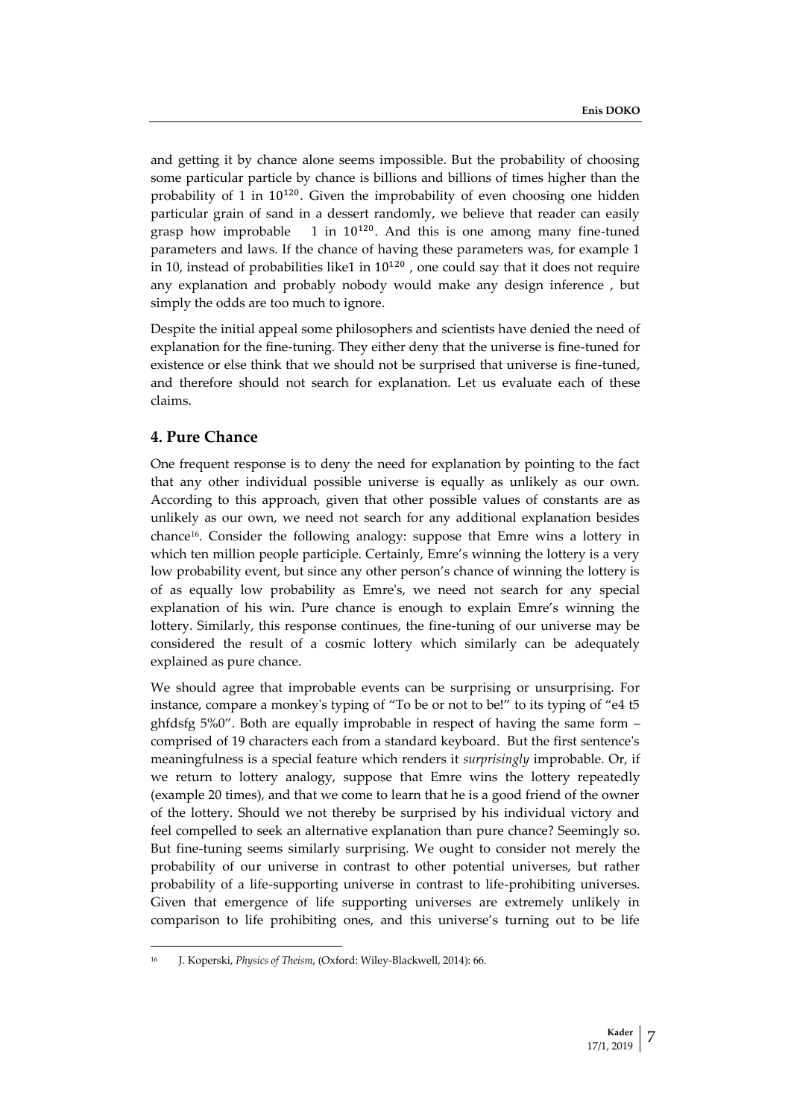and getting it by chance alone seems impossible. But the probability of choosing some particular particle by chance is billions and billions of times higher than the probability of 1 in 10<sup>120</sup>. Given the improbability of even choosing one hidden particular grain of sand in a dessert randomly, we believe that reader can easily grasp how improbable  $1$  in  $10^{120}$ . And this is one among many fine-tuned parameters and laws. If the chance of having these parameters was, for example 1 in 10, instead of probabilities like1 in  $10^{120}$  , one could say that it does not require any explanation and probably nobody would make any design inference , but simply the odds are too much to ignore.

Despite the initial appeal some philosophers and scientists have denied the need of explanation for the fine-tuning. They either deny that the universe is fine-tuned for existence or else think that we should not be surprised that universe is fine-tuned, and therefore should not search for explanation. Let us evaluate each of these claims.

# **4. Pure Chance**

l

One frequent response is to deny the need for explanation by pointing to the fact that any other individual possible universe is equally as unlikely as our own. According to this approach, given that other possible values of constants are as unlikely as our own, we need not search for any additional explanation besides chance16. Consider the following analogy: suppose that Emre wins a lottery in which ten million people participle. Certainly, Emre's winning the lottery is a very low probability event, but since any other person's chance of winning the lottery is of as equally low probability as Emre's, we need not search for any special explanation of his win. Pure chance is enough to explain Emre's winning the lottery. Similarly, this response continues, the fine-tuning of our universe may be considered the result of a cosmic lottery which similarly can be adequately explained as pure chance.

We should agree that improbable events can be surprising or unsurprising. For instance, compare a monkey's typing of "To be or not to be!" to its typing of "e4 t5 ghfdsfg 5%0". Both are equally improbable in respect of having the same form – comprised of 19 characters each from a standard keyboard. But the first sentence's meaningfulness is a special feature which renders it *surprisingly* improbable. Or, if we return to lottery analogy, suppose that Emre wins the lottery repeatedly (example 20 times), and that we come to learn that he is a good friend of the owner of the lottery. Should we not thereby be surprised by his individual victory and feel compelled to seek an alternative explanation than pure chance? Seemingly so. But fine-tuning seems similarly surprising. We ought to consider not merely the probability of our universe in contrast to other potential universes, but rather probability of a life-supporting universe in contrast to life-prohibiting universes. Given that emergence of life supporting universes are extremely unlikely in comparison to life prohibiting ones, and this universe's turning out to be life

<sup>16</sup> J. Koperski, *Physics of Theism*, (Oxford: Wiley-Blackwell, 2014): 66.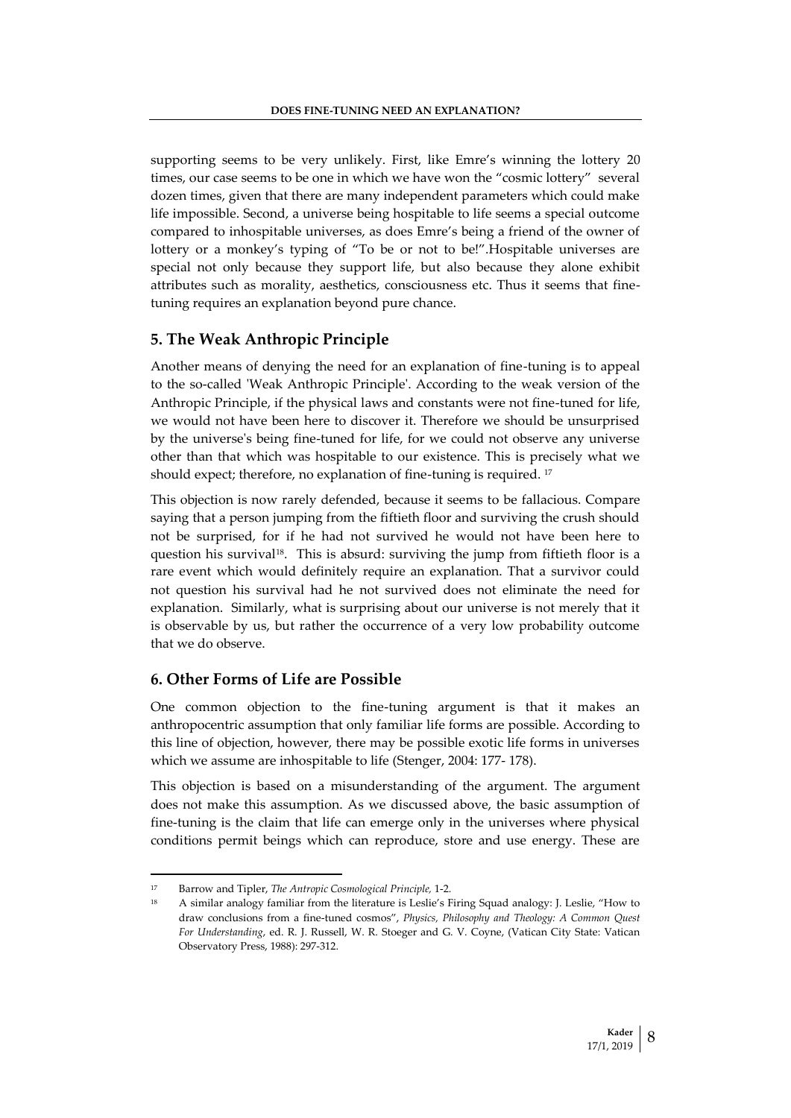supporting seems to be very unlikely. First, like Emre's winning the lottery 20 times, our case seems to be one in which we have won the "cosmic lottery" several dozen times, given that there are many independent parameters which could make life impossible. Second, a universe being hospitable to life seems a special outcome compared to inhospitable universes, as does Emre's being a friend of the owner of lottery or a monkey's typing of "To be or not to be!".Hospitable universes are special not only because they support life, but also because they alone exhibit attributes such as morality, aesthetics, consciousness etc. Thus it seems that finetuning requires an explanation beyond pure chance.

## **5. The Weak Anthropic Principle**

Another means of denying the need for an explanation of fine-tuning is to appeal to the so-called 'Weak Anthropic Principle'. According to the weak version of the Anthropic Principle, if the physical laws and constants were not fine-tuned for life, we would not have been here to discover it. Therefore we should be unsurprised by the universe's being fine-tuned for life, for we could not observe any universe other than that which was hospitable to our existence. This is precisely what we should expect; therefore, no explanation of fine-tuning is required. <sup>17</sup>

This objection is now rarely defended, because it seems to be fallacious. Compare saying that a person jumping from the fiftieth floor and surviving the crush should not be surprised, for if he had not survived he would not have been here to question his survival<sup>18</sup>. This is absurd: surviving the jump from fiftieth floor is a rare event which would definitely require an explanation. That a survivor could not question his survival had he not survived does not eliminate the need for explanation. Similarly, what is surprising about our universe is not merely that it is observable by us, but rather the occurrence of a very low probability outcome that we do observe.

## **6. Other Forms of Life are Possible**

One common objection to the fine-tuning argument is that it makes an anthropocentric assumption that only familiar life forms are possible. According to this line of objection, however, there may be possible exotic life forms in universes which we assume are inhospitable to life (Stenger, 2004: 177- 178).

This objection is based on a misunderstanding of the argument. The argument does not make this assumption. As we discussed above, the basic assumption of fine-tuning is the claim that life can emerge only in the universes where physical conditions permit beings which can reproduce, store and use energy. These are

 $\overline{a}$ 

<sup>17</sup> Barrow and Tipler, *The Antropic Cosmological Principle,* 1-2.

<sup>18</sup> A similar analogy familiar from the literature is Leslie's Firing Squad analogy: J. Leslie, "How to draw conclusions from a fine-tuned cosmos", *Physics, Philosophy and Theology: A Common Quest For Understanding*, ed. R. J. Russell, W. R. Stoeger and G. V. Coyne, (Vatican City State: Vatican Observatory Press, 1988): 297-312.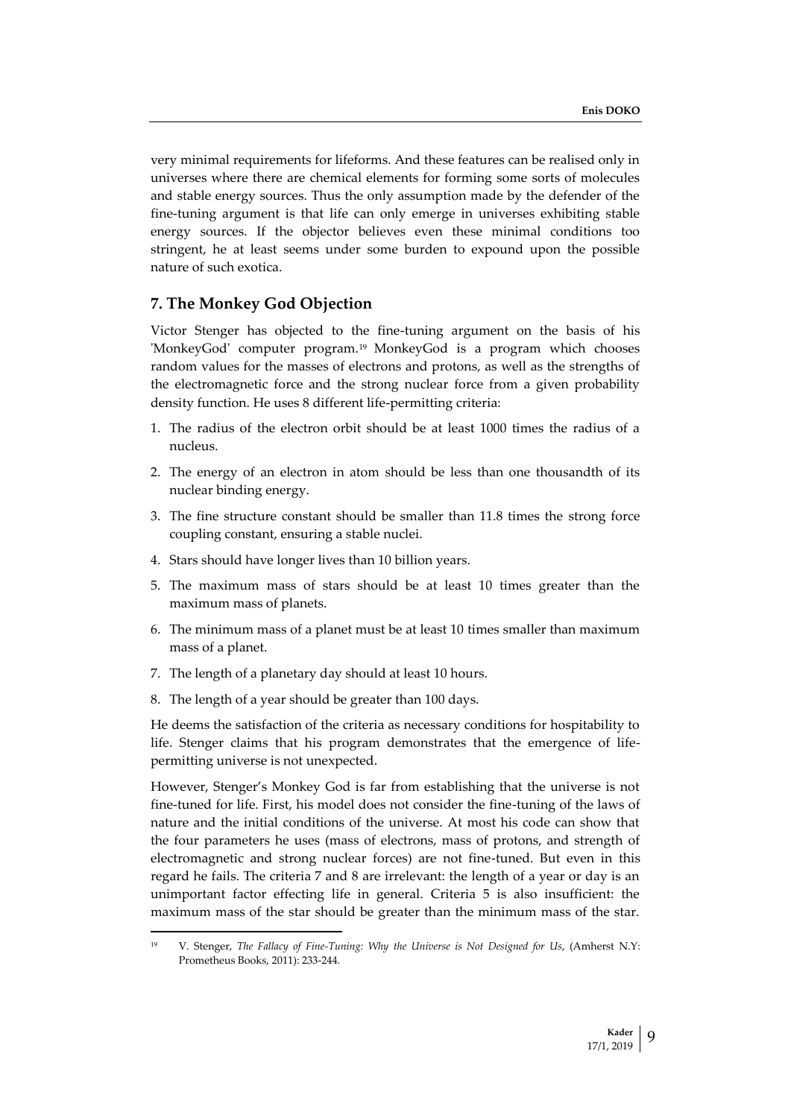very minimal requirements for lifeforms. And these features can be realised only in universes where there are chemical elements for forming some sorts of molecules and stable energy sources. Thus the only assumption made by the defender of the fine-tuning argument is that life can only emerge in universes exhibiting stable energy sources. If the objector believes even these minimal conditions too stringent, he at least seems under some burden to expound upon the possible nature of such exotica.

# **7. The Monkey God Objection**

Victor Stenger has objected to the fine-tuning argument on the basis of his 'MonkeyGod' computer program.<sup>19</sup> MonkeyGod is a program which chooses random values for the masses of electrons and protons, as well as the strengths of the electromagnetic force and the strong nuclear force from a given probability density function. He uses 8 different life-permitting criteria:

- 1. The radius of the electron orbit should be at least 1000 times the radius of a nucleus.
- 2. The energy of an electron in atom should be less than one thousandth of its nuclear binding energy.
- 3. The fine structure constant should be smaller than 11.8 times the strong force coupling constant, ensuring a stable nuclei.
- 4. Stars should have longer lives than 10 billion years.
- 5. The maximum mass of stars should be at least 10 times greater than the maximum mass of planets.
- 6. The minimum mass of a planet must be at least 10 times smaller than maximum mass of a planet.
- 7. The length of a planetary day should at least 10 hours.
- 8. The length of a year should be greater than 100 days.

 $\overline{\phantom{a}}$ 

He deems the satisfaction of the criteria as necessary conditions for hospitability to life. Stenger claims that his program demonstrates that the emergence of lifepermitting universe is not unexpected.

However, Stenger's Monkey God is far from establishing that the universe is not fine-tuned for life. First, his model does not consider the fine-tuning of the laws of nature and the initial conditions of the universe. At most his code can show that the four parameters he uses (mass of electrons, mass of protons, and strength of electromagnetic and strong nuclear forces) are not fine-tuned. But even in this regard he fails. The criteria 7 and 8 are irrelevant: the length of a year or day is an unimportant factor effecting life in general. Criteria 5 is also insufficient: the maximum mass of the star should be greater than the minimum mass of the star.

<sup>19</sup> V. Stenger, *The Fallacy of Fine-Tuning: Why the Universe is Not Designed for Us*, (Amherst N.Y: Prometheus Books, 2011): 233-244.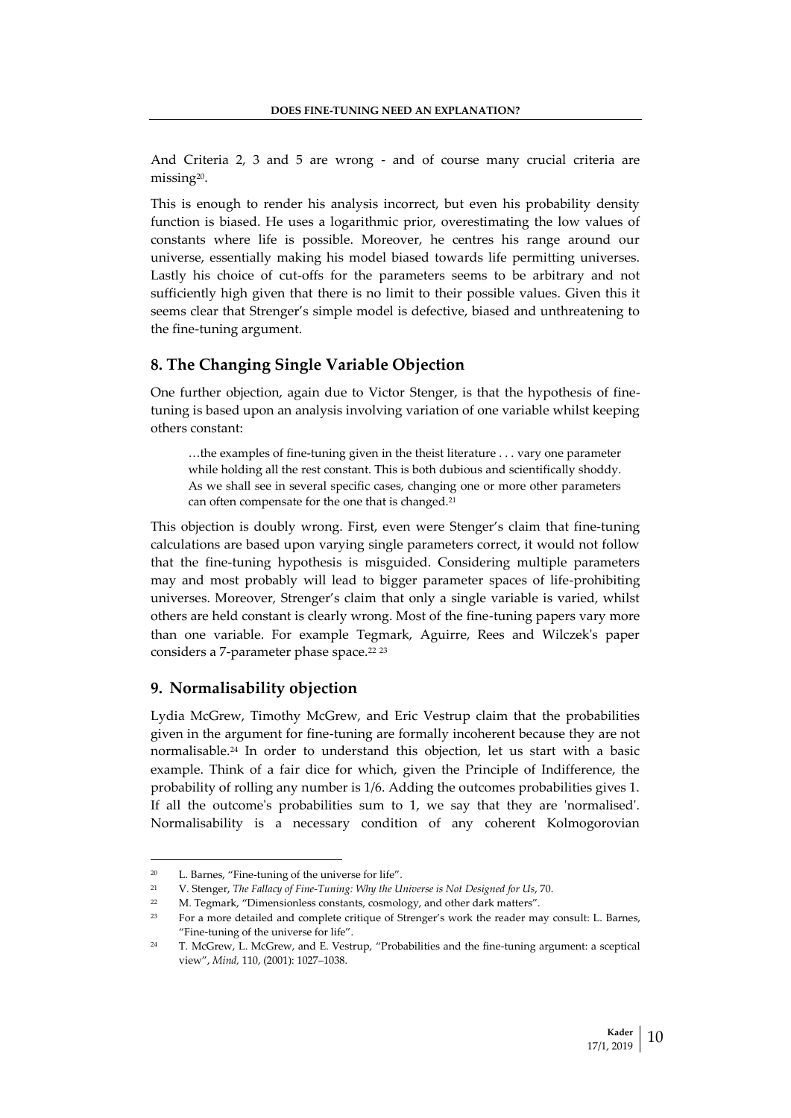And Criteria 2, 3 and 5 are wrong - and of course many crucial criteria are missing<sup>20</sup> .

This is enough to render his analysis incorrect, but even his probability density function is biased. He uses a logarithmic prior, overestimating the low values of constants where life is possible. Moreover, he centres his range around our universe, essentially making his model biased towards life permitting universes. Lastly his choice of cut-offs for the parameters seems to be arbitrary and not sufficiently high given that there is no limit to their possible values. Given this it seems clear that Strenger's simple model is defective, biased and unthreatening to the fine-tuning argument.

## **8. The Changing Single Variable Objection**

One further objection, again due to Victor Stenger, is that the hypothesis of finetuning is based upon an analysis involving variation of one variable whilst keeping others constant:

…the examples of fine-tuning given in the theist literature . . . vary one parameter while holding all the rest constant. This is both dubious and scientifically shoddy. As we shall see in several specific cases, changing one or more other parameters can often compensate for the one that is changed.<sup>21</sup>

This objection is doubly wrong. First, even were Stenger's claim that fine-tuning calculations are based upon varying single parameters correct, it would not follow that the fine-tuning hypothesis is misguided. Considering multiple parameters may and most probably will lead to bigger parameter spaces of life-prohibiting universes. Moreover, Strenger's claim that only a single variable is varied, whilst others are held constant is clearly wrong. Most of the fine-tuning papers vary more than one variable. For example Tegmark, Aguirre, Rees and Wilczek's paper considers a 7-parameter phase space.<sup>22 23</sup>

## **9. Normalisability objection**

Lydia McGrew, Timothy McGrew, and Eric Vestrup claim that the probabilities given in the argument for fine-tuning are formally incoherent because they are not normalisable.<sup>24</sup> In order to understand this objection, let us start with a basic example. Think of a fair dice for which, given the Principle of Indifference, the probability of rolling any number is 1/6. Adding the outcomes probabilities gives 1. If all the outcome's probabilities sum to 1, we say that they are 'normalised'. Normalisability is a necessary condition of any coherent Kolmogorovian

<sup>20</sup> L. Barnes, "Fine-tuning of the universe for life".

<sup>21</sup> V. Stenger, *The Fallacy of Fine-Tuning: Why the Universe is Not Designed for Us*, 70.

<sup>&</sup>lt;sup>22</sup> M. Tegmark, "Dimensionless constants, cosmology, and other dark matters".

<sup>23</sup> For a more detailed and complete critique of Strenger's work the reader may consult: L. Barnes, "Fine-tuning of the universe for life".

<sup>24</sup> T. McGrew, L. McGrew, and E. Vestrup, "Probabilities and the fine-tuning argument: a sceptical view", *Mind,* 110, (2001): 1027–1038.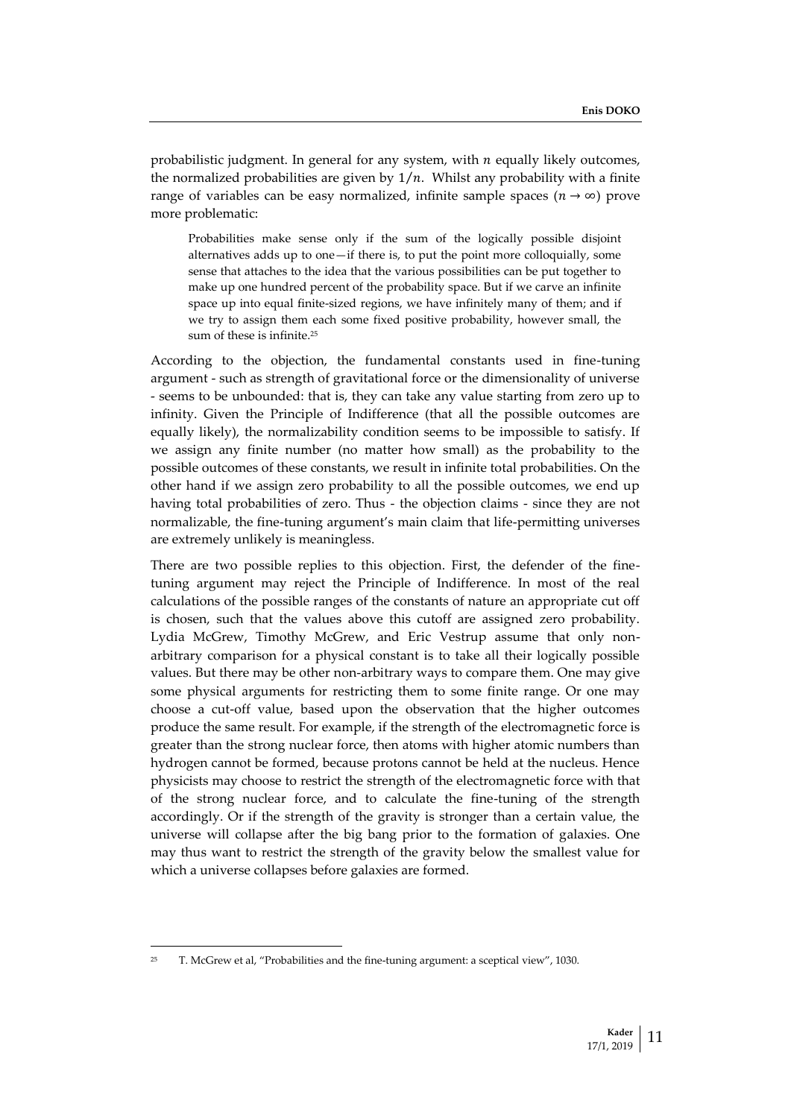probabilistic judgment. In general for any system, with  $n$  equally likely outcomes, the normalized probabilities are given by  $1/n$ . Whilst any probability with a finite range of variables can be easy normalized, infinite sample spaces  $(n \rightarrow \infty)$  prove more problematic:

Probabilities make sense only if the sum of the logically possible disjoint alternatives adds up to one—if there is, to put the point more colloquially, some sense that attaches to the idea that the various possibilities can be put together to make up one hundred percent of the probability space. But if we carve an infinite space up into equal finite-sized regions, we have infinitely many of them; and if we try to assign them each some fixed positive probability, however small, the sum of these is infinite.<sup>25</sup>

According to the objection, the fundamental constants used in fine-tuning argument - such as strength of gravitational force or the dimensionality of universe - seems to be unbounded: that is, they can take any value starting from zero up to infinity. Given the Principle of Indifference (that all the possible outcomes are equally likely), the normalizability condition seems to be impossible to satisfy. If we assign any finite number (no matter how small) as the probability to the possible outcomes of these constants, we result in infinite total probabilities. On the other hand if we assign zero probability to all the possible outcomes, we end up having total probabilities of zero. Thus - the objection claims - since they are not normalizable, the fine-tuning argument's main claim that life-permitting universes are extremely unlikely is meaningless.

There are two possible replies to this objection. First, the defender of the finetuning argument may reject the Principle of Indifference. In most of the real calculations of the possible ranges of the constants of nature an appropriate cut off is chosen, such that the values above this cutoff are assigned zero probability. Lydia McGrew, Timothy McGrew, and Eric Vestrup assume that only nonarbitrary comparison for a physical constant is to take all their logically possible values. But there may be other non-arbitrary ways to compare them. One may give some physical arguments for restricting them to some finite range. Or one may choose a cut-off value, based upon the observation that the higher outcomes produce the same result. For example, if the strength of the electromagnetic force is greater than the strong nuclear force, then atoms with higher atomic numbers than hydrogen cannot be formed, because protons cannot be held at the nucleus. Hence physicists may choose to restrict the strength of the electromagnetic force with that of the strong nuclear force, and to calculate the fine-tuning of the strength accordingly. Or if the strength of the gravity is stronger than a certain value, the universe will collapse after the big bang prior to the formation of galaxies. One may thus want to restrict the strength of the gravity below the smallest value for which a universe collapses before galaxies are formed.

<sup>&</sup>lt;sup>25</sup> T. McGrew et al, "Probabilities and the fine-tuning argument: a sceptical view", 1030.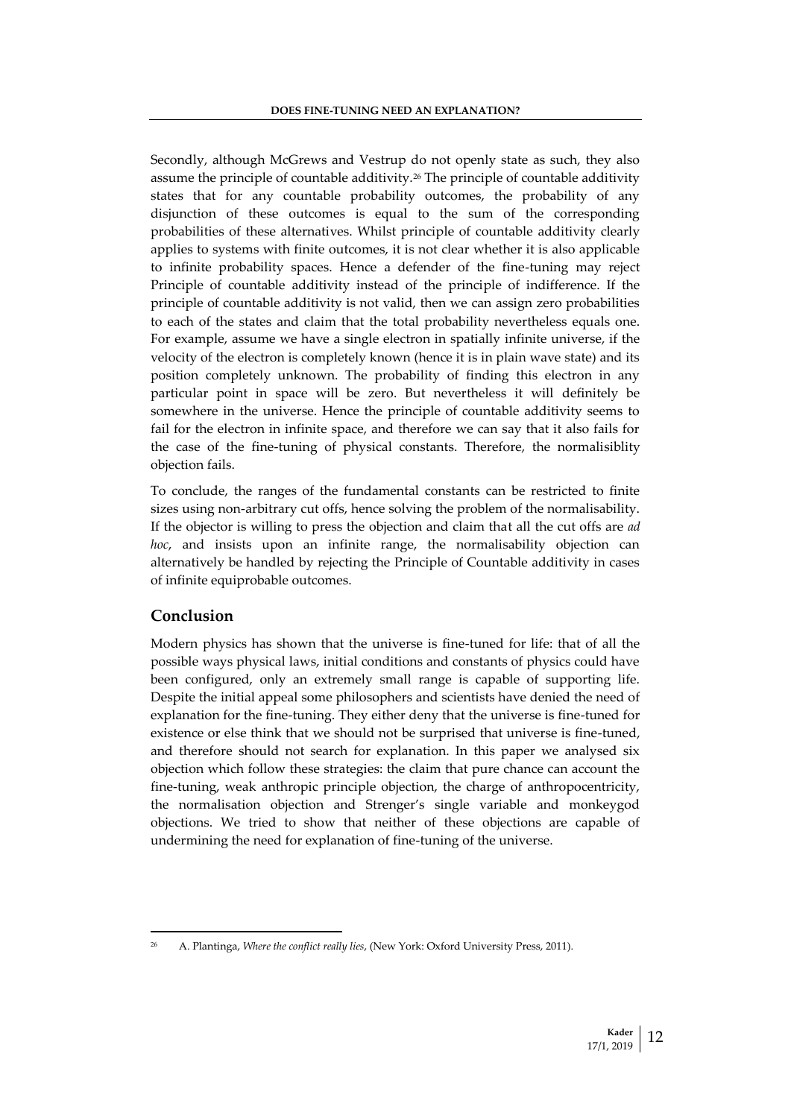Secondly, although McGrews and Vestrup do not openly state as such, they also assume the principle of countable additivity.<sup>26</sup> The principle of countable additivity states that for any countable probability outcomes, the probability of any disjunction of these outcomes is equal to the sum of the corresponding probabilities of these alternatives. Whilst principle of countable additivity clearly applies to systems with finite outcomes, it is not clear whether it is also applicable to infinite probability spaces. Hence a defender of the fine-tuning may reject Principle of countable additivity instead of the principle of indifference. If the principle of countable additivity is not valid, then we can assign zero probabilities to each of the states and claim that the total probability nevertheless equals one. For example, assume we have a single electron in spatially infinite universe, if the velocity of the electron is completely known (hence it is in plain wave state) and its position completely unknown. The probability of finding this electron in any particular point in space will be zero. But nevertheless it will definitely be somewhere in the universe. Hence the principle of countable additivity seems to fail for the electron in infinite space, and therefore we can say that it also fails for the case of the fine-tuning of physical constants. Therefore, the normalisiblity objection fails.

To conclude, the ranges of the fundamental constants can be restricted to finite sizes using non-arbitrary cut offs, hence solving the problem of the normalisability. If the objector is willing to press the objection and claim that all the cut offs are *ad hoc*, and insists upon an infinite range, the normalisability objection can alternatively be handled by rejecting the Principle of Countable additivity in cases of infinite equiprobable outcomes.

# **Conclusion**

 $\overline{\phantom{a}}$ 

Modern physics has shown that the universe is fine-tuned for life: that of all the possible ways physical laws, initial conditions and constants of physics could have been configured, only an extremely small range is capable of supporting life. Despite the initial appeal some philosophers and scientists have denied the need of explanation for the fine-tuning. They either deny that the universe is fine-tuned for existence or else think that we should not be surprised that universe is fine-tuned, and therefore should not search for explanation. In this paper we analysed six objection which follow these strategies: the claim that pure chance can account the fine-tuning, weak anthropic principle objection, the charge of anthropocentricity, the normalisation objection and Strenger's single variable and monkeygod objections. We tried to show that neither of these objections are capable of undermining the need for explanation of fine-tuning of the universe.

<sup>26</sup> A. Plantinga, *Where the conflict really lies*, (New York: Oxford University Press, 2011).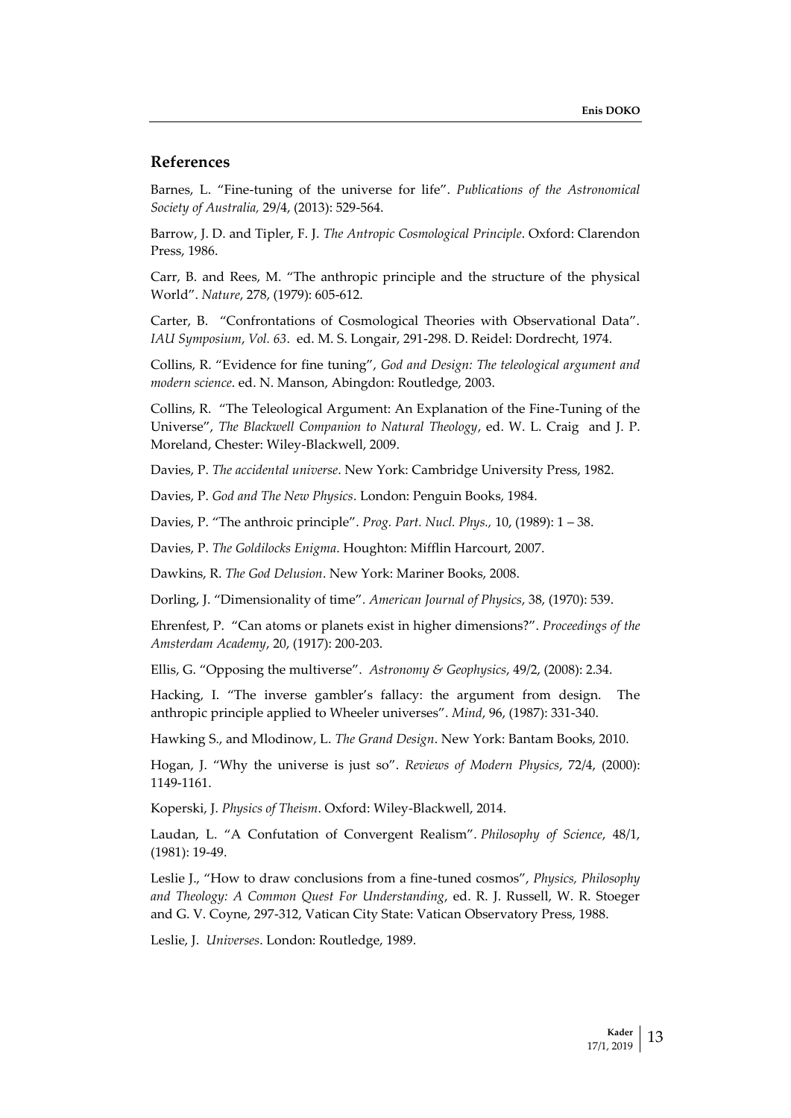## **References**

Barnes, L. "Fine-tuning of the universe for life". *Publications of the Astronomical Society of Australia,* 29/4, (2013): 529-564.

Barrow, J. D. and Tipler, F. J. *The Antropic Cosmological Principle*. Oxford: Clarendon Press, 1986.

Carr, B. and Rees, M. "The anthropic principle and the structure of the physical World". *Nature*, 278, (1979): 605-612.

Carter, B. "Confrontations of Cosmological Theories with Observational Data". *IAU Symposium*, *Vol. 63*. ed. M. S. Longair, 291-298. D. Reidel: Dordrecht, 1974.

Collins, R. "Evidence for fine tuning", *God and Design: The teleological argument and modern science*. ed. N. Manson, Abingdon: Routledge, 2003.

Collins, R. "The Teleological Argument: An Explanation of the Fine-Tuning of the Universe", *The Blackwell Companion to Natural Theology*, ed. W. L. Craig and J. P. Moreland, Chester: Wiley-Blackwell, 2009.

Davies, P. *The accidental universe*. New York: Cambridge University Press, 1982.

Davies, P. *God and The New Physics*. London: Penguin Books, 1984.

Davies, P. "The anthroic principle". *Prog. Part. Nucl. Phys.,* 10, (1989): 1 – 38.

Davies, P. *The Goldilocks Enigma*. Houghton: Mifflin Harcourt, 2007.

Dawkins, R. *The God Delusion*. New York: Mariner Books, 2008.

Dorling, J. "Dimensionality of time"*. American Journal of Physics*, 38, (1970): 539.

Ehrenfest, P. "Can atoms or planets exist in higher dimensions?". *Proceedings of the Amsterdam Academy*, 20, (1917): 200-203.

Ellis, G. "Opposing the multiverse". *Astronomy & Geophysics*, 49/2, (2008): 2.34.

Hacking, I. "The inverse gambler's fallacy: the argument from design. The anthropic principle applied to Wheeler universes". *Mind*, 96, (1987): 331-340.

Hawking S., and Mlodinow, L. *The Grand Design*. New York: Bantam Books, 2010.

Hogan, J. "Why the universe is just so". *Reviews of Modern Physics*, 72/4, (2000): 1149-1161.

Koperski, J. *Physics of Theism*. Oxford: Wiley-Blackwell, 2014.

Laudan, L. "A Confutation of Convergent Realism". *Philosophy of Science*, 48/1, (1981): 19-49.

Leslie J., "How to draw conclusions from a fine-tuned cosmos", *Physics, Philosophy and Theology: A Common Quest For Understanding*, ed. R. J. Russell, W. R. Stoeger and G. V. Coyne, 297-312, Vatican City State: Vatican Observatory Press, 1988.

Leslie, J. *Universes*. London: Routledge, 1989.